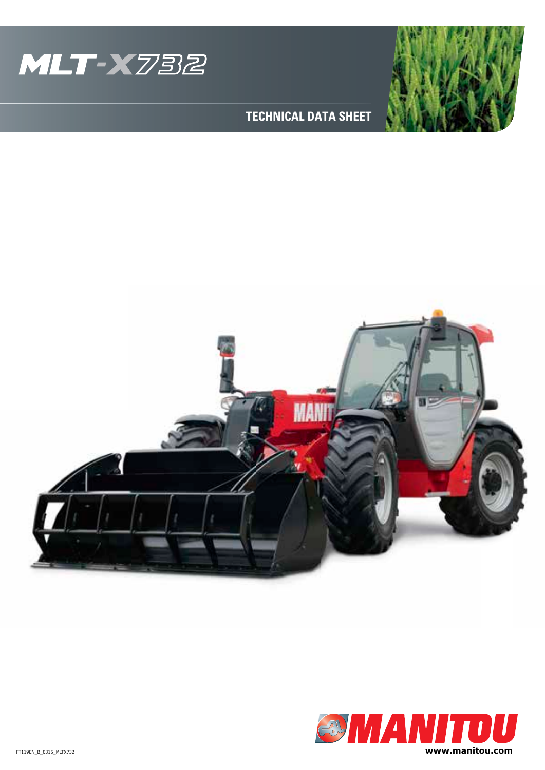



## **TECHNICAL DATA SHEET**